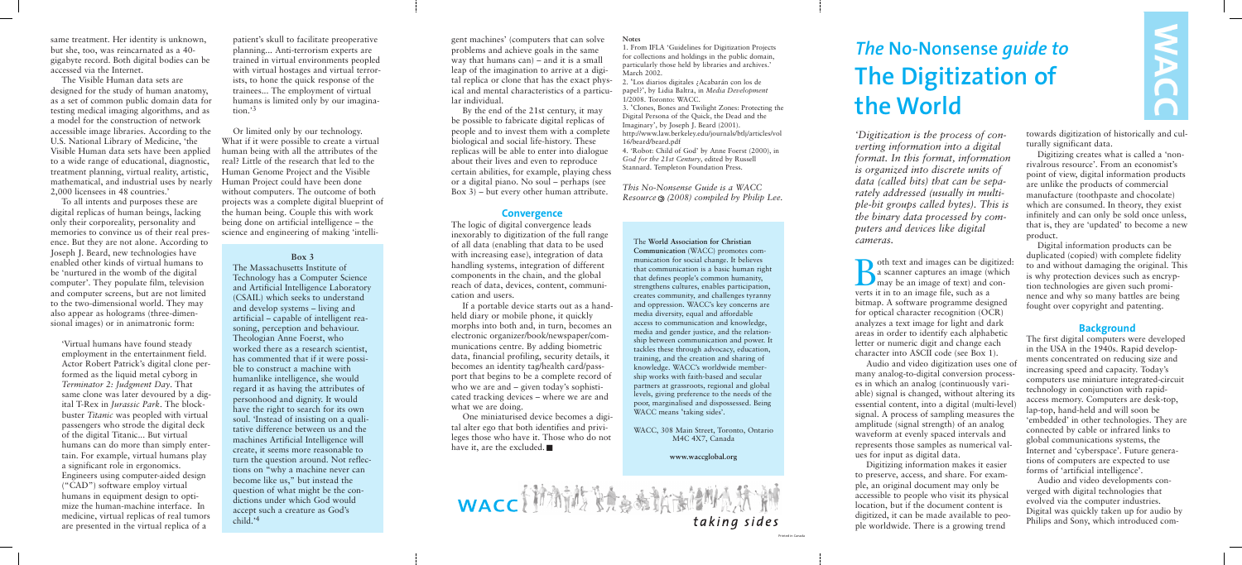*'Digitization is the process of converting information into a digital format. In this format, information is organized into discrete units of data (called bits) that can be separately addressed (usually in multiple-bit groups called bytes). This is the binary data processed by computers and devices like digital cameras.*

Soth text and images can be digitized:<br>a scanner captures an image (which<br>may be an image of text) and cona scanner captures an image (which may be an image of text) and converts it in to an image file, such as a bitmap. A software programme designed for optical character recognition (OCR) analyzes a text image for light and dark areas in order to identify each alphabetic letter or numeric digit and change each character into ASCII code (see Box 1).

Audio and video digitization uses one of many analog-to-digital conversion processes in which an analog (continuously variable) signal is changed, without altering its essential content, into a digital (multi-level) signal. A process of sampling measures the amplitude (signal strength) of an analog waveform at evenly spaced intervals and represents those samples as numerical values for input as digital data.

Digitizing information makes it easier to preserve, access, and share. For example, an original document may only be accessible to people who visit its physical location, but if the document content is digitized, it can be made available to people worldwide. There is a growing trend

towards digitization of historically and culturally significant data.

Digitizing creates what is called a 'nonrivalrous resource'. From an economist's point of view, digital information products are unlike the products of commercial manufacture (toothpaste and chocolate) which are consumed. In theory, they exist infinitely and can only be sold once unless, that is, they are 'updated' to become a new product.

Digital information products can be duplicated (copied) with complete fidelity to and without damaging the original. This is why protection devices such as encryption technologies are given such prominence and why so many battles are being fought over copyright and patenting.

### **Background**

One miniaturised device becomes a digital alter ego that both identifies and privileges those who have it. Those who do not have it, are the excluded.



The first digital computers were developed in the USA in the 1940s. Rapid developments concentrated on reducing size and increasing speed and capacity. Today's computers use miniature integrated-circuit technology in conjunction with rapidaccess memory. Computers are desk-top, lap-top, hand-held and will soon be 'embedded' in other technologies. They are connected by cable or infrared links to global communications systems, the Internet and 'cyberspace'. Future generations of computers are expected to use forms of 'artificial intelligence'.

Audio and video developments converged with digital technologies that evolved via the computer industries. Digital was quickly taken up for audio by Philips and Sony, which introduced com-



# *The* **No-Nonsense** *guide to* **The Digitization of the World**

gent machines' (computers that can solve problems and achieve goals in the same way that humans can) – and it is a small leap of the imagination to arrive at a digital replica or clone that has the exact physical and mental characteristics of a particular individual.

By the end of the 21st century, it may be possible to fabricate digital replicas of people and to invest them with a complete biological and social life-history. These replicas will be able to enter into dialogue about their lives and even to reproduce certain abilities, for example, playing chess or a digital piano. No soul – perhaps (see Box 3) – but every other human attribute.

## **Convergence**

The logic of digital convergence leads inexorably to digitization of the full range of all data (enabling that data to be used with increasing ease), integration of data handling systems, integration of different components in the chain, and the global reach of data, devices, content, communication and users.

If a portable device starts out as a handheld diary or mobile phone, it quickly morphs into both and, in turn, becomes an electronic organizer/book/newspaper/communications centre. By adding biometric data, financial profiling, security details, it becomes an identity tag/health card/passport that begins to be a complete record of who we are and – given today's sophisticated tracking devices – where we are and what we are doing.

#### **Notes**

1. From IFLA 'Guidelines for Digitization Projects for collections and holdings in the public domain, particularly those held by libraries and archives.' March 2002.

2. 'Los diarios digitales ¿Acabarán con los de papel?', by Lidia Baltra, in *Media Development* 1/2008. Toronto: WACC.

3. 'Clones, Bones and Twilight Zones: Protecting the Digital Persona of the Quick, the Dead and the Imaginary', by Joseph J. Beard (2001). http://www.law.berkeley.edu/journals/btlj/articles/vol

16/beard/beard.pdf

4. 'Robot: Child of God' by Anne Foerst (2000), in *God for the 21st Century*, edited by Russell Stannard. Templeton Foundation Press.

*This No-Nonsense Guide is a WACC Resource (2008) compiled by Philip Lee.*

The **World Association for Christian**

**Communication** (WACC) promotes communication for social change. It believes that communication is a basic human right that defines people's common humanity, strengthens cultures, enables participation, creates community, and challenges tyranny and oppression. WACC's key concerns are media diversity, equal and affordable access to communication and knowledge, media and gender justice, and the relationship between communication and power. It tackles these through advocacy, education, training, and the creation and sharing of knowledge. WACC's worldwide membership works with faith-based and secular partners at grassroots, regional and global levels, giving preference to the needs of the poor, marginalised and dispossessed. Being WACC means 'taking sides'.

WACC, 308 Main Street, Toronto, Ontario M4C 4X7, Canada

#### **www.waccglobal.org**

same treatment. Her identity is unknown, but she, too, was reincarnated as a 40 gigabyte record. Both digital bodies can be accessed via the Internet.

The Visible Human data sets are designed for the study of human anatomy, as a set of common public domain data for testing medical imaging algorithms, and as a model for the construction of network accessible image libraries. According to the U.S. National Library of Medicine, 'the Visible Human data sets have been applied to a wide range of educational, diagnostic, treatment planning, virtual reality, artistic, mathematical, and industrial uses by nearly Human Project could have been done 2,000 licensees in 48 countries.'

To all intents and purposes these are digital replicas of human beings, lacking only their corporeality, personality and memories to convince us of their real presence. But they are not alone. According to Joseph J. Beard, new technologies have enabled other kinds of virtual humans to be 'nurtured in the womb of the digital computer'. They populate film, television and computer screens, but are not limited to the two-dimensional world. They may also appear as holograms (three-dimensional images) or in animatronic form:

'Virtual humans have found steady employment in the entertainment field. Actor Robert Patrick's digital clone performed as the liquid metal cyborg in *Terminator 2: Judgment Day*. That same clone was later devoured by a digital T-Rex in *Jurassic Park*. The blockbuster *Titanic* was peopled with virtual passengers who strode the digital deck of the digital Titanic... But virtual humans can do more than simply entertain. For example, virtual humans play a significant role in ergonomics. Engineers using computer-aided design ("CAD") software employ virtual humans in equipment design to optimize the human-machine interface. In medicine, virtual replicas of real tumors are presented in the virtual replica of a

patient's skull to facilitate preoperative planning... Anti-terrorism experts are trained in virtual environments peopled with virtual hostages and virtual terrorists, to hone the quick response of the trainees... The employment of virtual humans is limited only by our imagination.'3

Or limited only by our technology. What if it were possible to create a virtual human being with all the attributes of the real? Little of the research that led to the Human Genome Project and the Visible without computers. The outcome of both projects was a complete digital blueprint of the human being. Couple this with work being done on artificial intelligence – the science and engineering of making 'intelli-

#### **Box 3**

The Massachusetts Institute of Technology has a Computer Science and Artificial Intelligence Laboratory (CSAIL) which seeks to understand and develop systems – living and artificial – capable of intelligent reasoning, perception and behaviour. Theologian Anne Foerst, who worked there as a research scientist, has commented that if it were possible to construct a machine with humanlike intelligence, she would regard it as having the attributes of personhood and dignity. It would have the right to search for its own soul. 'Instead of insisting on a qualitative difference between us and the machines Artificial Intelligence will create, it seems more reasonable to turn the question around. Not reflections on "why a machine never can become like us," but instead the question of what might be the condictions under which God would accept such a creature as God's child.'4

Printed in Canada